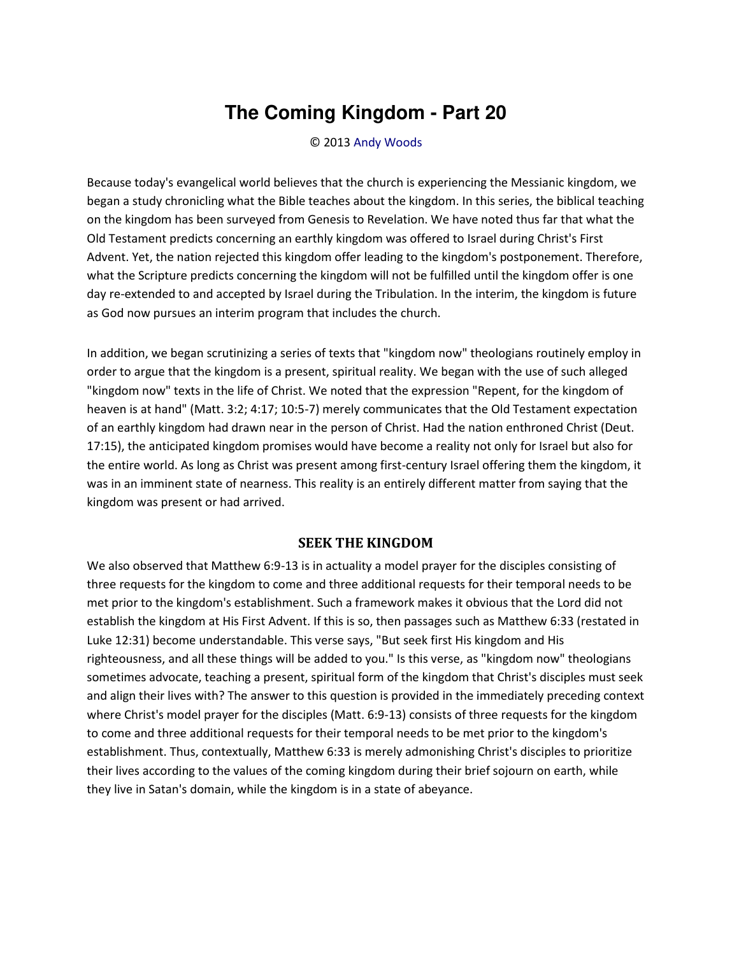## **The Coming Kingdom - Part 20**

© 2013 [Andy Woods](http://www.spiritandtruth.org/id/aw.htm)

Because today's evangelical world believes that the church is experiencing the Messianic kingdom, we began a study chronicling what the Bible teaches about the kingdom. In this series, the biblical teaching on the kingdom has been surveyed from Genesis to Revelation. We have noted thus far that what the Old Testament predicts concerning an earthly kingdom was offered to Israel during Christ's First Advent. Yet, the nation rejected this kingdom offer leading to the kingdom's postponement. Therefore, what the Scripture predicts concerning the kingdom will not be fulfilled until the kingdom offer is one day re-extended to and accepted by Israel during the Tribulation. In the interim, the kingdom is future as God now pursues an interim program that includes the church.

In addition, we began scrutinizing a series of texts that "kingdom now" theologians routinely employ in order to argue that the kingdom is a present, spiritual reality. We began with the use of such alleged "kingdom now" texts in the life of Christ. We noted that the expression "Repent, for the kingdom of heaven is at hand" (Matt. 3:2; 4:17; 10:5-7) merely communicates that the Old Testament expectation of an earthly kingdom had drawn near in the person of Christ. Had the nation enthroned Christ (Deut. 17:15), the anticipated kingdom promises would have become a reality not only for Israel but also for the entire world. As long as Christ was present among first-century Israel offering them the kingdom, it was in an imminent state of nearness. This reality is an entirely different matter from saying that the kingdom was present or had arrived.

## **SEEK THE KINGDOM**

We also observed that Matthew 6:9-13 is in actuality a model prayer for the disciples consisting of three requests for the kingdom to come and three additional requests for their temporal needs to be met prior to the kingdom's establishment. Such a framework makes it obvious that the Lord did not establish the kingdom at His First Advent. If this is so, then passages such as Matthew 6:33 (restated in Luke 12:31) become understandable. This verse says, "But seek first His kingdom and His righteousness, and all these things will be added to you." Is this verse, as "kingdom now" theologians sometimes advocate, teaching a present, spiritual form of the kingdom that Christ's disciples must seek and align their lives with? The answer to this question is provided in the immediately preceding context where Christ's model prayer for the disciples (Matt. 6:9-13) consists of three requests for the kingdom to come and three additional requests for their temporal needs to be met prior to the kingdom's establishment. Thus, contextually, Matthew 6:33 is merely admonishing Christ's disciples to prioritize their lives according to the values of the coming kingdom during their brief sojourn on earth, while they live in Satan's domain, while the kingdom is in a state of abeyance.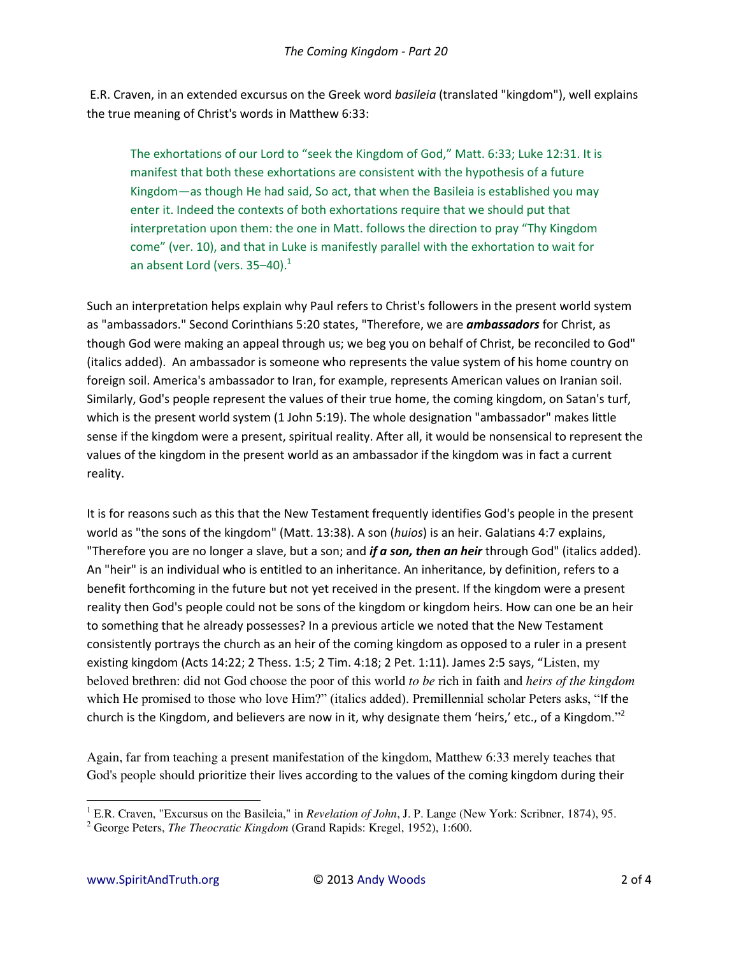E.R. Craven, in an extended excursus on the Greek word *basileia* (translated "kingdom"), well explains the true meaning of Christ's words in Matthew 6:33:

The exhortations of our Lord to "seek the Kingdom of God," Matt. 6:33; Luke 12:31. It is manifest that both these exhortations are consistent with the hypothesis of a future Kingdom—as though He had said, So act, that when the Basileia is established you may enter it. Indeed the contexts of both exhortations require that we should put that interpretation upon them: the one in Matt. follows the direction to pray "Thy Kingdom come" (ver. 10), and that in Luke is manifestly parallel with the exhortation to wait for an absent Lord (vers.  $35-40$ ).<sup>1</sup>

Such an interpretation helps explain why Paul refers to Christ's followers in the present world system as "ambassadors." Second Corinthians 5:20 states, "Therefore, we are *ambassadors* for Christ, as though God were making an appeal through us; we beg you on behalf of Christ, be reconciled to God" (italics added). An ambassador is someone who represents the value system of his home country on foreign soil. America's ambassador to Iran, for example, represents American values on Iranian soil. Similarly, God's people represent the values of their true home, the coming kingdom, on Satan's turf, which is the present world system (1 John 5:19). The whole designation "ambassador" makes little sense if the kingdom were a present, spiritual reality. After all, it would be nonsensical to represent the values of the kingdom in the present world as an ambassador if the kingdom was in fact a current reality.

It is for reasons such as this that the New Testament frequently identifies God's people in the present world as "the sons of the kingdom" (Matt. 13:38). A son (*huios*) is an heir. Galatians 4:7 explains, "Therefore you are no longer a slave, but a son; and *if a son, then an heir* through God" (italics added). An "heir" is an individual who is entitled to an inheritance. An inheritance, by definition, refers to a benefit forthcoming in the future but not yet received in the present. If the kingdom were a present reality then God's people could not be sons of the kingdom or kingdom heirs. How can one be an heir to something that he already possesses? In a previous article we noted that the New Testament consistently portrays the church as an heir of the coming kingdom as opposed to a ruler in a present existing kingdom (Acts 14:22; 2 Thess. 1:5; 2 Tim. 4:18; 2 Pet. 1:11). James 2:5 says, "Listen, my beloved brethren: did not God choose the poor of this world *to be* rich in faith and *heirs of the kingdom* which He promised to those who love Him?" (italics added). Premillennial scholar Peters asks, "If the church is the Kingdom, and believers are now in it, why designate them 'heirs,' etc., of a Kingdom."<sup>2</sup>

Again, far from teaching a present manifestation of the kingdom, Matthew 6:33 merely teaches that God's people should prioritize their lives according to the values of the coming kingdom during their

 $\overline{\phantom{0}}$ 

<sup>&</sup>lt;sup>1</sup> E.R. Craven, "Excursus on the Basileia," in *Revelation of John*, J. P. Lange (New York: Scribner, 1874), 95.

<sup>2</sup> George Peters, *The Theocratic Kingdom* (Grand Rapids: Kregel, 1952), 1:600.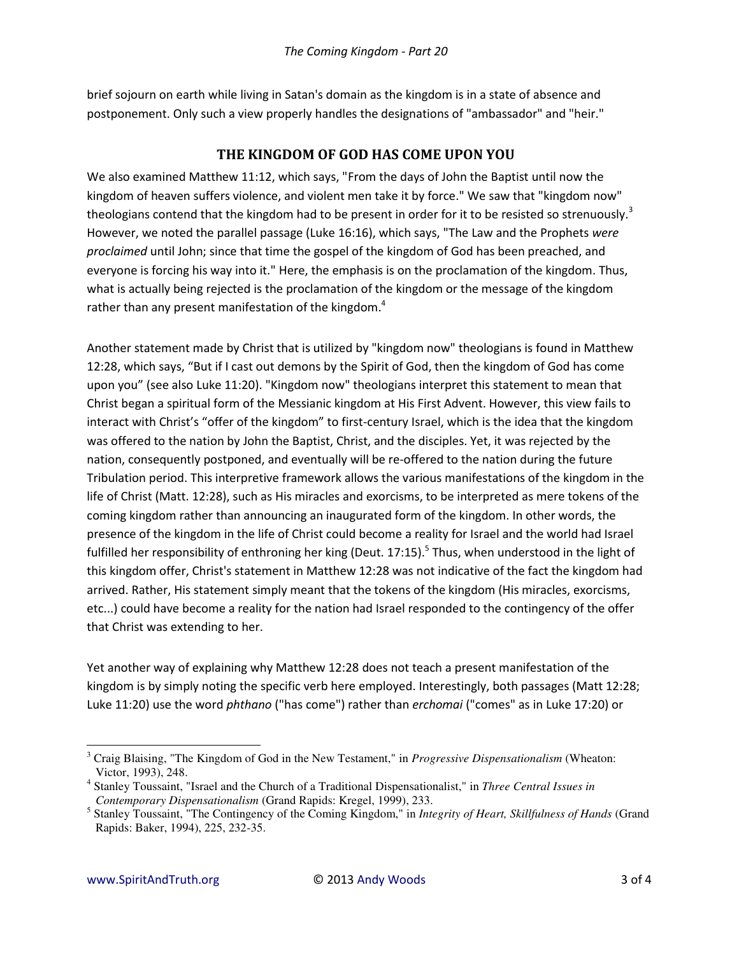brief sojourn on earth while living in Satan's domain as the kingdom is in a state of absence and postponement. Only such a view properly handles the designations of "ambassador" and "heir."

## **THE KINGDOM OF GOD HAS COME UPON YOU**

We also examined Matthew 11:12, which says, "From the days of John the Baptist until now the kingdom of heaven suffers violence, and violent men take it by force." We saw that "kingdom now" theologians contend that the kingdom had to be present in order for it to be resisted so strenuously.<sup>3</sup> However, we noted the parallel passage (Luke 16:16), which says, "The Law and the Prophets *were proclaimed* until John; since that time the gospel of the kingdom of God has been preached, and everyone is forcing his way into it." Here, the emphasis is on the proclamation of the kingdom. Thus, what is actually being rejected is the proclamation of the kingdom or the message of the kingdom rather than any present manifestation of the kingdom.<sup>4</sup>

Another statement made by Christ that is utilized by "kingdom now" theologians is found in Matthew 12:28, which says, "But if I cast out demons by the Spirit of God, then the kingdom of God has come upon you" (see also Luke 11:20). "Kingdom now" theologians interpret this statement to mean that Christ began a spiritual form of the Messianic kingdom at His First Advent. However, this view fails to interact with Christ's "offer of the kingdom" to first-century Israel, which is the idea that the kingdom was offered to the nation by John the Baptist, Christ, and the disciples. Yet, it was rejected by the nation, consequently postponed, and eventually will be re-offered to the nation during the future Tribulation period. This interpretive framework allows the various manifestations of the kingdom in the life of Christ (Matt. 12:28), such as His miracles and exorcisms, to be interpreted as mere tokens of the coming kingdom rather than announcing an inaugurated form of the kingdom. In other words, the presence of the kingdom in the life of Christ could become a reality for Israel and the world had Israel fulfilled her responsibility of enthroning her king (Deut. 17:15).<sup>5</sup> Thus, when understood in the light of this kingdom offer, Christ's statement in Matthew 12:28 was not indicative of the fact the kingdom had arrived. Rather, His statement simply meant that the tokens of the kingdom (His miracles, exorcisms, etc...) could have become a reality for the nation had Israel responded to the contingency of the offer that Christ was extending to her.

Yet another way of explaining why Matthew 12:28 does not teach a present manifestation of the kingdom is by simply noting the specific verb here employed. Interestingly, both passages (Matt 12:28; Luke 11:20) use the word *phthano* ("has come") rather than *erchomai* ("comes" as in Luke 17:20) or

l

<sup>3</sup> Craig Blaising, "The Kingdom of God in the New Testament," in *Progressive Dispensationalism* (Wheaton: Victor, 1993), 248.

<sup>4</sup> Stanley Toussaint, "Israel and the Church of a Traditional Dispensationalist," in *Three Central Issues in Contemporary Dispensationalism* (Grand Rapids: Kregel, 1999), 233.

<sup>5</sup> Stanley Toussaint, "The Contingency of the Coming Kingdom," in *Integrity of Heart, Skillfulness of Hands* (Grand Rapids: Baker, 1994), 225, 232-35.